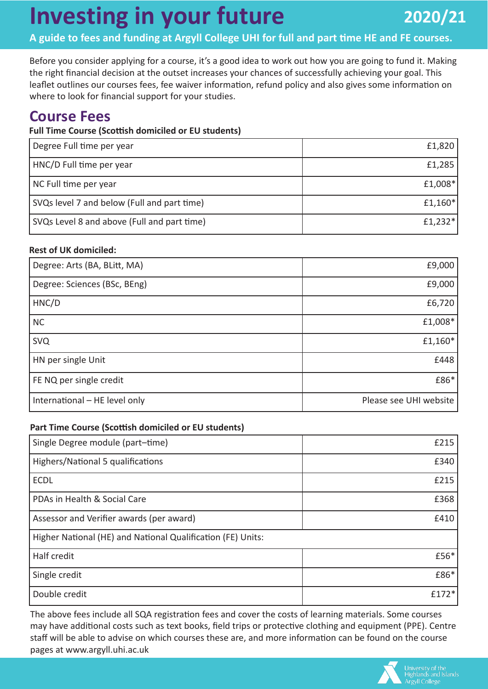# **Investing in your future**

**A guide to fees and funding at Argyll College UHI for full and part time HE and FE courses.**

Before you consider applying for a course, it's a good idea to work out how you are going to fund it. Making the right financial decision at the outset increases your chances of successfully achieving your goal. This leaflet outlines our courses fees, fee waiver information, refund policy and also gives some information on where to look for financial support for your studies.

### **Course Fees**

### **Full Time Course (Scottish domiciled or EU students)**

| Degree Full time per year                   | £1,820  |
|---------------------------------------------|---------|
| HNC/D Full time per year                    | £1,285  |
| NC Full time per year                       | £1,008* |
| SVQs level 7 and below (Full and part time) | £1,160* |
| SVQs Level 8 and above (Full and part time) | £1,232* |

### **Rest of UK domiciled:**

| Degree: Arts (BA, BLitt, MA)  | £9,000                 |
|-------------------------------|------------------------|
| Degree: Sciences (BSc, BEng)  | £9,000                 |
| HNC/D                         | £6,720                 |
| <b>NC</b>                     | £1,008*                |
| <b>SVQ</b>                    | £1,160*                |
| HN per single Unit            | £448                   |
| FE NQ per single credit       | £86*                   |
| International - HE level only | Please see UHI website |

### **Part Time Course (Scottish domiciled or EU students)**

| Single Degree module (part-time)                            | £215  |
|-------------------------------------------------------------|-------|
| Highers/National 5 qualifications                           | £340  |
| <b>ECDL</b>                                                 | £215  |
| PDAs in Health & Social Care                                | £368  |
| Assessor and Verifier awards (per award)                    | £410  |
| Higher National (HE) and National Qualification (FE) Units: |       |
| Half credit                                                 | £56*  |
| Single credit                                               | £86*  |
| Double credit                                               | £172* |

The above fees include all SQA registration fees and cover the costs of learning materials. Some courses may have additional costs such as text books, field trips or protective clothing and equipment (PPE). Centre staff will be able to advise on which courses these are, and more information can be found on the course pages at www.argyll.uhi.ac.uk

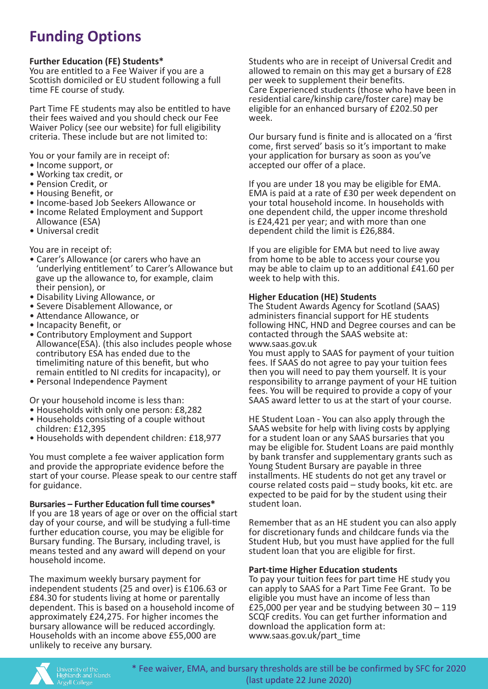### **Funding Options**

### **Further Education (FE) Students\***

You are entitled to a Fee Waiver if you are a Scottish domiciled or EU student following a full time FE course of study.

Part Time FE students may also be entitled to have their fees waived and you should check our Fee Waiver Policy (see our website) for full eligibility criteria. These include but are not limited to:

You or your family are in receipt of:

- Income support, or
- Working tax credit, or
- Pension Credit, or
- Housing Benefit, or
- Income-based Job Seekers Allowance or
- Income Related Employment and Support Allowance (ESA)
- Universal credit

You are in receipt of:

- Carer's Allowance (or carers who have an 'underlying entitlement' to Carer's Allowance but gave up the allowance to, for example, claim their pension), or
- Disability Living Allowance, or
- Severe Disablement Allowance, or
- Attendance Allowance, or
- Incapacity Benefit, or
- Contributory Employment and Support Allowance(ESA). (this also includes people whose contributory ESA has ended due to the timelimiting nature of this benefit, but who remain entitled to NI credits for incapacity), or
- Personal Independence Payment

Or your household income is less than:

- Households with only one person: £8,282
- Households consisting of a couple without children: £12,395
- Households with dependent children: £18,977

You must complete a fee waiver application form and provide the appropriate evidence before the start of your course. Please speak to our centre staff for guidance.

**Bursaries – Further Education full time courses\*** If you are 18 years of age or over on the official start day of your course, and will be studying a full-time further education course, you may be eligible for Bursary funding. The Bursary, including travel, is means tested and any award will depend on your household income.

The maximum weekly bursary payment for independent students (25 and over) is £106.63 or £84.30 for students living at home or parentally dependent. This is based on a household income of approximately £24,275. For higher incomes the bursary allowance will be reduced accordingly. Households with an income above £55,000 are unlikely to receive any bursary.

Students who are in receipt of Universal Credit and allowed to remain on this may get a bursary of £28 per week to supplement their benefits. Care Experienced students (those who have been in residential care/kinship care/foster care) may be eligible for an enhanced bursary of £202.50 per week.

Our bursary fund is finite and is allocated on a 'first come, first served' basis so it's important to make your application for bursary as soon as you've accepted our offer of a place.

If you are under 18 you may be eligible for EMA. EMA is paid at a rate of £30 per week dependent on your total household income. In households with one dependent child, the upper income threshold is £24,421 per year; and with more than one dependent child the limit is £26,884.

If you are eligible for EMA but need to live away from home to be able to access your course you may be able to claim up to an additional £41.60 per week to help with this.

#### **Higher Education (HE) Students**

The Student Awards Agency for Scotland (SAAS) administers financial support for HE students following HNC, HND and Degree courses and can be contacted through the SAAS website at: <www.saas.gov.uk>

You must apply to SAAS for payment of your tuition fees. If SAAS do not agree to pay your tuition fees then you will need to pay them yourself. It is your responsibility to arrange payment of your HE tuition fees. You will be required to provide a copy of your SAAS award letter to us at the start of your course.

HE Student Loan - You can also apply through the SAAS website for help with living costs by applying for a student loan or any SAAS bursaries that you may be eligible for. Student Loans are paid monthly by bank transfer and supplementary grants such as Young Student Bursary are payable in three installments. HE students do not get any travel or course related costs paid – study books, kit etc. are expected to be paid for by the student using their student loan.

Remember that as an HE student you can also apply for discretionary funds and childcare funds via the Student Hub, but you must have applied for the full student loan that you are eligible for first.

#### **Part-time Higher Education students**

To pay your tuition fees for part time HE study you can apply to SAAS for a Part Time Fee Grant. To be eligible you must have an income of less than £25,000 per year and be studying between 30 – 119 SCQF credits. You can get further information and download the application form at: [www.saas.gov.uk/part\\_time](www.saas.gov.uk/part-time)



\* Fee waiver, EMA, and bursary thresholds are still be be confirmed by SFC for 2020 (last update 22 June 2020)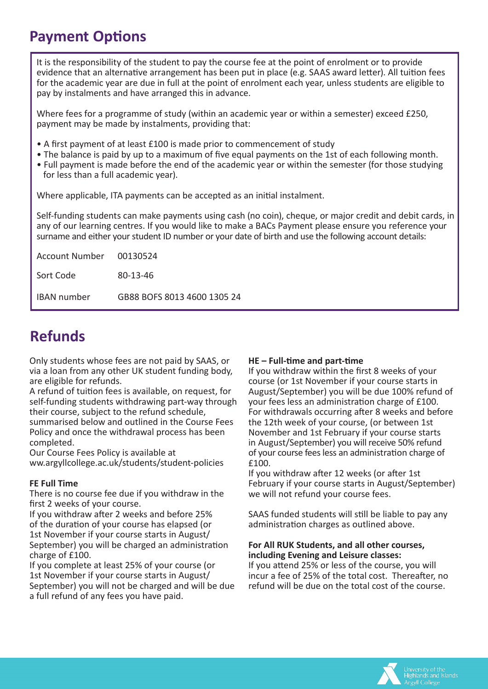### **Payment Options**

It is the responsibility of the student to pay the course fee at the point of enrolment or to provide evidence that an alternative arrangement has been put in place (e.g. SAAS award letter). All tuition fees for the academic year are due in full at the point of enrolment each year, unless students are eligible to pay by instalments and have arranged this in advance.

Where fees for a programme of study (within an academic year or within a semester) exceed £250, payment may be made by instalments, providing that:

- A first payment of at least £100 is made prior to commencement of study
- The balance is paid by up to a maximum of five equal payments on the 1st of each following month.
- Full payment is made before the end of the academic year or within the semester (for those studying for less than a full academic year).

Where applicable, ITA payments can be accepted as an initial instalment.

Self-funding students can make payments using cash (no coin), cheque, or major credit and debit cards, in any of our learning centres. If you would like to make a BACs Payment please ensure you reference your surname and either your student ID number or your date of birth and use the following account details:

| Account Number 00130524 |                             |
|-------------------------|-----------------------------|
| Sort Code               | $80 - 13 - 46$              |
| <b>IBAN</b> number      | GB88 BOFS 8013 4600 1305 24 |

### **Refunds**

Only students whose fees are not paid by SAAS, or via a loan from any other UK student funding body, are eligible for refunds.

A refund of tuition fees is available, on request, for self-funding students withdrawing part-way through their course, subject to the refund schedule, summarised below and outlined in the Course Fees

Policy and once the withdrawal process has been completed.

Our Course Fees Policy is available at ww.argyllcollege.ac.uk/students/student-policies

### **FE Full Time**

There is no course fee due if you withdraw in the first 2 weeks of your course.

If you withdraw after 2 weeks and before 25% of the duration of your course has elapsed (or 1st November if your course starts in August/ September) you will be charged an administration charge of £100.

If you complete at least 25% of your course (or 1st November if your course starts in August/ September) you will not be charged and will be due a full refund of any fees you have paid.

### **HE – Full-time and part-time**

If you withdraw within the first 8 weeks of your course (or 1st November if your course starts in August/September) you will be due 100% refund of your fees less an administration charge of £100. For withdrawals occurring after 8 weeks and before the 12th week of your course, (or between 1st November and 1st February if your course starts in August/September) you will receive 50% refund of your course fees less an administration charge of £100.

If you withdraw after 12 weeks (or after 1st February if your course starts in August/September) we will not refund your course fees.

SAAS funded students will still be liable to pay any administration charges as outlined above.

#### **For All RUK Students, and all other courses, including Evening and Leisure classes:**

If you attend 25% or less of the course, you will incur a fee of 25% of the total cost. Thereafter, no refund will be due on the total cost of the course.